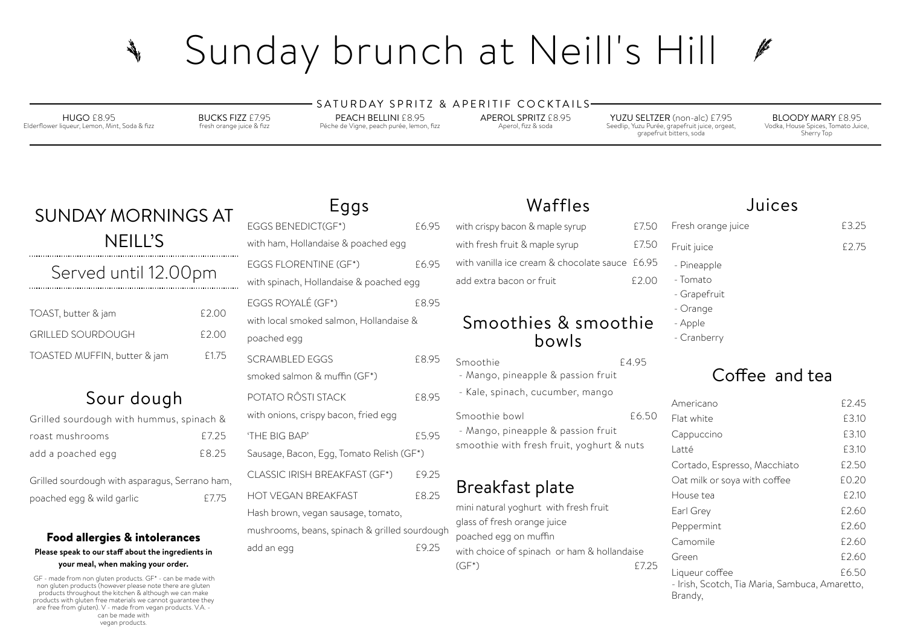### Food allergies & intolerances

#### **Please speak to our staf about the ingredients in your meal, when making your order.**

GF - made from non gluten products. GF\* - can be made with non gluten products (however please note there are gluten products throughout the kitchen & although we can make products with gluten free materials we cannot guarantee they are free from gluten). V - made from vegan products. V.A. can be made with vegan products.

# SUNDAY MORNINGS AT NEILL'S

Served until 12.00pm

| TOAST, butter & jam          | £2.00 |
|------------------------------|-------|
| GRILLED SOURDOUGH            | f2.00 |
| TOASTED MUFFIN, butter & jam | £1.75 |

# Sour dough

with choice of spinach or ham & hollandaise (GF\*) £7.25 Bran

| Grilled sourdough with hummus, spinach & |       |
|------------------------------------------|-------|
| roast mushrooms                          | £7.25 |
| add a poached egg                        | £8.25 |

| Grilled sourdough with asparagus, Serrano ham, |       |
|------------------------------------------------|-------|
| poached egg & wild garlic                      | £7.75 |

# Waffles

| with crispy bacon & maple syrup                | £7.50 | Fr             |
|------------------------------------------------|-------|----------------|
| with fresh fruit & maple syrup                 | £7.50 | Fr             |
| with vanilla ice cream & chocolate sauce £6.95 |       |                |
| add extra bacon or fruit                       | £2.00 | $\overline{a}$ |
|                                                |       |                |

## Smoothies & smoothie bowls

SATURDAY SPRITZ & APERITIF COCKTAILS-PEACH BELLINI £8.95

| 5   | Smoothie                                  | £4.95 |
|-----|-------------------------------------------|-------|
|     | - Mango, pineapple & passion fruit        |       |
| 5   | - Kale, spinach, cucumber, mango          |       |
|     | Smoothie bowl                             | £6.50 |
| 5   | - Mango, pineapple & passion fruit        |       |
|     | smoothie with fresh fruit, yoghurt & nuts |       |
|     |                                           |       |
| 5   |                                           |       |
| 5   | Breakfast plate                           |       |
|     | mini natural yoghurt with fresh fruit     |       |
|     | glass of fresh orange juice               |       |
| ugh | poached egg on muffin                     |       |

- Fruit juice E2.75
- Pineapple
- **Tomato**
- **Grapefruit**
- Orange
- Apple
- Cranberry

### Coffee and tea

# Eggs

| EGGS BENEDICT(GF*)                            | £6.95 |
|-----------------------------------------------|-------|
| with ham, Hollandaise & poached egg           |       |
| <b>EGGS FLORENTINE (GF*)</b>                  | £6.95 |
| with spinach, Hollandaise & poached egg       |       |
| EGGS ROYALÉ (GF*)                             | £8.95 |
| with local smoked salmon, Hollandaise &       |       |
| poached egg                                   |       |
| <b>SCRAMBLED EGGS</b>                         | £8.95 |
| smoked salmon & muffin (GF*)                  |       |
| POTATO RÔSTI STACK                            | £8.95 |
| with onions, crispy bacon, fried egg          |       |
| 'THE BIG BAP'                                 | £5.95 |
| Sausage, Bacon, Egg, Tomato Relish (GF*)      |       |
| <b>CLASSIC IRISH BREAKFAST (GF*)</b>          | £9.25 |
| <b>HOT VEGAN BREAKFAST</b>                    | £8.25 |
| Hash brown, vegan sausage, tomato,            |       |
| mushrooms, beans, spinach & grilled sourdough |       |
| add an egg                                    | £9.25 |

# Sunday brunch at Neill's Hill **RANGE**

HUGO £8.95 Elderflower liqueur, Lemon, Mint, Soda & fizz BUCKS FIZZ £7.95 fresh orange juice & fizz

Péche de Vigne, peach purée, lemon, fizz

APEROL SPRITZ £8.95 Aperol, fizz & soda

YUZU SELTZER (non-alc) £7.95 Seedlip, Yuzu Purée, grapefruit juice, orgeat, grapefruit bitters, soda

BLOODY MARY £8.95 Vodka, House Spices, Tomato Juice, Sherry Top

### Juices

### Fresh orange juice **E**3.25

| Americano                                                                   | £2.45 |
|-----------------------------------------------------------------------------|-------|
| Flat white                                                                  | £3.10 |
| Cappuccino                                                                  | £3.10 |
| Latté                                                                       | £3.10 |
| Cortado, Espresso, Macchiato                                                | £2.50 |
| Oat milk or soya with coffee                                                | £0.20 |
| House tea                                                                   | £2.10 |
| Earl Grey                                                                   | £2.60 |
| Peppermint                                                                  | £2.60 |
| Camomile                                                                    | £2.60 |
| Green                                                                       | £2.60 |
| Liqueur coffee<br>- Irish, Scotch, Tia Maria, Sambuca, Amaretto,<br>Brandy, | £6.50 |